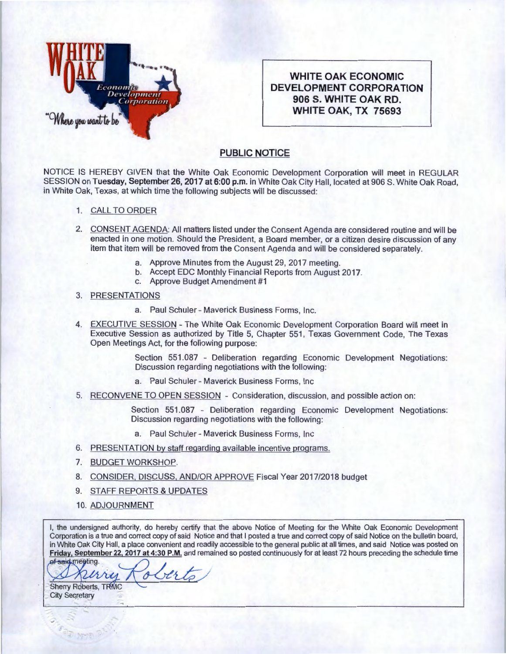

**WHITE OAK ECONOMIC DEVELOPMENT CORPORATION 906 S. WHITE OAK RD. WHITE OAK, TX 75693** 

## **PUBLIC NOTICE**

NOTICE IS HEREBY GIVEN that the White Oak Economic Development Corporation will meet in REGULAR SESSION on Tuesday, September 26, 2017 at 6:00 p.m. in White Oak City Hall, located at 906 S. White Oak Road, in White Oak, Texas, at which time the following subjects will be discussed:

- 1. CALL TO ORDER
- 2. CONSENT AGENDA: All matters listed under the Consent Agenda are considered routine and will be enacted in one motion. Should the President, a Board member, or a citizen desire discussion of any item that item will be removed from the Consent Agenda and will be considered separately.
	- a. Approve Minutes from the August 29, 2017 meeting.
	- b. Accept EDC Monthly Financial Reports from August 2017.
	- c. Approve Budget Amendment #1
- 3. PRESENTATIONS
	- a. Paul Schuler- Maverick Business Forms, Inc.
- 4. EXECUTIVE SESSION The White Oak Economic Development Corporation Board will meet in Executive Session as authorized by Title 5, Chapter 551 , Texas Government Code, The Texas Open Meetings Act, for the following purpose:

Section 551.087 - Deliberation regarding Economic Development Negotiations: Discussion regarding negotiations with the following:

- a. Paul Schuler- Maverick Business Forms, Inc
- 5. RECONVENE TO OPEN SESSION Consideration, discussion, and possible action on:

Section 551.087 - Deliberation regarding Economic Development Negotiations: Discussion regarding negotiations with the following:

- a. Paul Schuler- Maverick Business Forms, Inc
- 6. PRESENTATION by staff regarding available incentive programs.
- 7. BUDGET WORKSHOP.
- 8. CONSIDER, DISCUSS, AND/OR APPROVE Fiscal Year 2017/2018 budget
- 9. STAFF REPORTS & UPDATES
- 10. ADJOURNMENT

 $\overline{3}$   $\overline{2}$ 

I, the undersigned authority, do hereby certify that the above Notice of Meeting for the White Oak Economic Development Corporation is a true and correct copy of said Notice and that I posted a true and correct copy of said Notice on the bulletin board, in White Oak City Hall, a place convenient and readily accessible to the general public at all times, and said Notice was posted on **Friday, September** 22, **2017 at 4:30 P.M.** and remained so posted continuously for at least 72 hours preceding the schedule time

of said megting.<br>Nurry Roberto Sherry Roberts, TRMC **City Secretary**